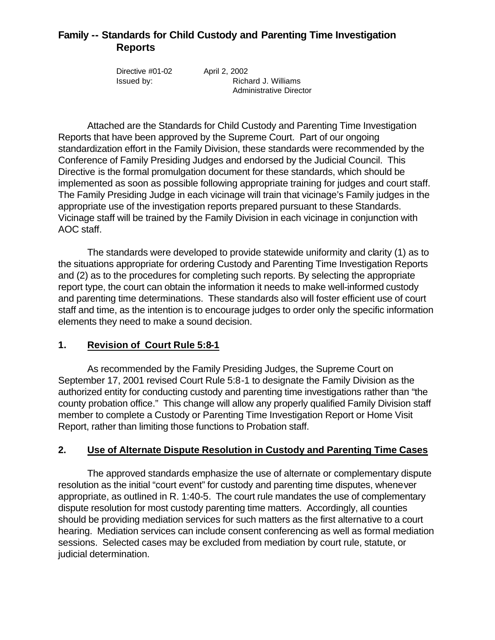## **Family -- Standards for Child Custody and Parenting Time Investigation Reports**

| Directive #01-02 | April 2, 2002           |
|------------------|-------------------------|
| lssued by:       | Richard J. Williams     |
|                  | Administrative Director |

Attached are the Standards for Child Custody and Parenting Time Investigation Reports that have been approved by the Supreme Court. Part of our ongoing standardization effort in the Family Division, these standards were recommended by the Conference of Family Presiding Judges and endorsed by the Judicial Council. This Directive is the formal promulgation document for these standards, which should be implemented as soon as possible following appropriate training for judges and court staff. The Family Presiding Judge in each vicinage will train that vicinage's Family judges in the appropriate use of the investigation reports prepared pursuant to these Standards. Vicinage staff will be trained by the Family Division in each vicinage in conjunction with AOC staff.

The standards were developed to provide statewide uniformity and clarity (1) as to the situations appropriate for ordering Custody and Parenting Time Investigation Reports and (2) as to the procedures for completing such reports. By selecting the appropriate report type, the court can obtain the information it needs to make well-informed custody and parenting time determinations. These standards also will foster efficient use of court staff and time, as the intention is to encourage judges to order only the specific information elements they need to make a sound decision.

## **1. Revision of Court Rule 5:8-1**

As recommended by the Family Presiding Judges, the Supreme Court on September 17, 2001 revised Court Rule 5:8-1 to designate the Family Division as the authorized entity for conducting custody and parenting time investigations rather than "the county probation office." This change will allow any properly qualified Family Division staff member to complete a Custody or Parenting Time Investigation Report or Home Visit Report, rather than limiting those functions to Probation staff.

## **2. Use of Alternate Dispute Resolution in Custody and Parenting Time Cases**

The approved standards emphasize the use of alternate or complementary dispute resolution as the initial "court event" for custody and parenting time disputes, whenever appropriate, as outlined in R. 1:40-5. The court rule mandates the use of complementary dispute resolution for most custody parenting time matters. Accordingly, all counties should be providing mediation services for such matters as the first alternative to a court hearing. Mediation services can include consent conferencing as well as formal mediation sessions. Selected cases may be excluded from mediation by court rule, statute, or judicial determination.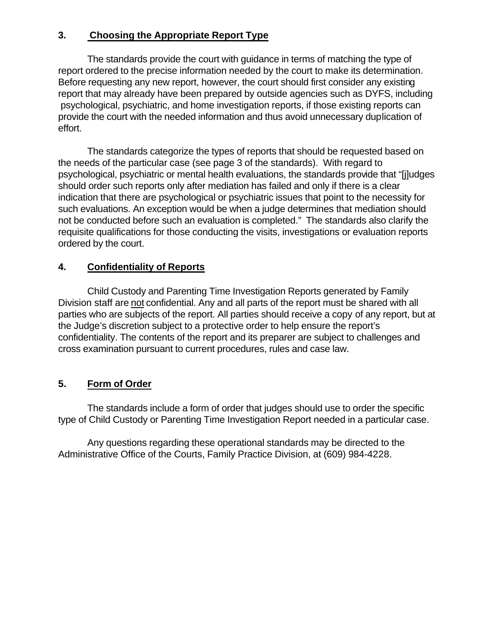## **3. Choosing the Appropriate Report Type**

The standards provide the court with guidance in terms of matching the type of report ordered to the precise information needed by the court to make its determination. Before requesting any new report, however, the court should first consider any existing report that may already have been prepared by outside agencies such as DYFS, including psychological, psychiatric, and home investigation reports, if those existing reports can provide the court with the needed information and thus avoid unnecessary duplication of effort.

The standards categorize the types of reports that should be requested based on the needs of the particular case (see page 3 of the standards). With regard to psychological, psychiatric or mental health evaluations, the standards provide that "[j]udges should order such reports only after mediation has failed and only if there is a clear indication that there are psychological or psychiatric issues that point to the necessity for such evaluations. An exception would be when a judge determines that mediation should not be conducted before such an evaluation is completed." The standards also clarify the requisite qualifications for those conducting the visits, investigations or evaluation reports ordered by the court.

## **4. Confidentiality of Reports**

Child Custody and Parenting Time Investigation Reports generated by Family Division staff are not confidential. Any and all parts of the report must be shared with all parties who are subjects of the report. All parties should receive a copy of any report, but at the Judge's discretion subject to a protective order to help ensure the report's confidentiality. The contents of the report and its preparer are subject to challenges and cross examination pursuant to current procedures, rules and case law.

## **5. Form of Order**

The standards include a form of order that judges should use to order the specific type of Child Custody or Parenting Time Investigation Report needed in a particular case.

Any questions regarding these operational standards may be directed to the Administrative Office of the Courts, Family Practice Division, at (609) 984-4228.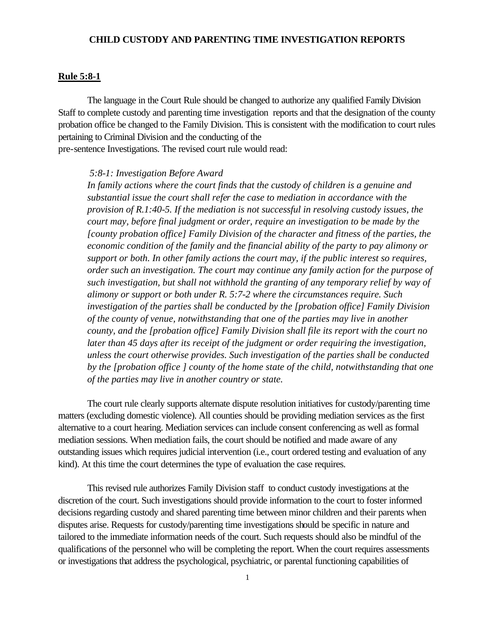## **CHILD CUSTODY AND PARENTING TIME INVESTIGATION REPORTS**

#### **Rule 5:8-1**

The language in the Court Rule should be changed to authorize any qualified Family Division Staff to complete custody and parenting time investigation reports and that the designation of the county probation office be changed to the Family Division. This is consistent with the modification to court rules pertaining to Criminal Division and the conducting of the pre-sentence Investigations. The revised court rule would read:

#### *5:8-1: Investigation Before Award*

*In family actions where the court finds that the custody of children is a genuine and substantial issue the court shall refer the case to mediation in accordance with the provision of R.1:40-5. If the mediation is not successful in resolving custody issues, the court may, before final judgment or order, require an investigation to be made by the [county probation office] Family Division of the character and fitness of the parties, the economic condition of the family and the financial ability of the party to pay alimony or support or both. In other family actions the court may, if the public interest so requires, order such an investigation. The court may continue any family action for the purpose of such investigation, but shall not withhold the granting of any temporary relief by way of alimony or support or both under R. 5:7-2 where the circumstances require. Such investigation of the parties shall be conducted by the [probation office] Family Division of the county of venue, notwithstanding that one of the parties may live in another county, and the [probation office] Family Division shall file its report with the court no later than 45 days after its receipt of the judgment or order requiring the investigation, unless the court otherwise provides. Such investigation of the parties shall be conducted by the [probation office ] county of the home state of the child, notwithstanding that one of the parties may live in another country or state.*

The court rule clearly supports alternate dispute resolution initiatives for custody/parenting time matters (excluding domestic violence). All counties should be providing mediation services as the first alternative to a court hearing. Mediation services can include consent conferencing as well as formal mediation sessions. When mediation fails, the court should be notified and made aware of any outstanding issues which requires judicial intervention (i.e., court ordered testing and evaluation of any kind). At this time the court determines the type of evaluation the case requires.

This revised rule authorizes Family Division staff to conduct custody investigations at the discretion of the court. Such investigations should provide information to the court to foster informed decisions regarding custody and shared parenting time between minor children and their parents when disputes arise. Requests for custody/parenting time investigations should be specific in nature and tailored to the immediate information needs of the court. Such requests should also be mindful of the qualifications of the personnel who will be completing the report. When the court requires assessments or investigations that address the psychological, psychiatric, or parental functioning capabilities of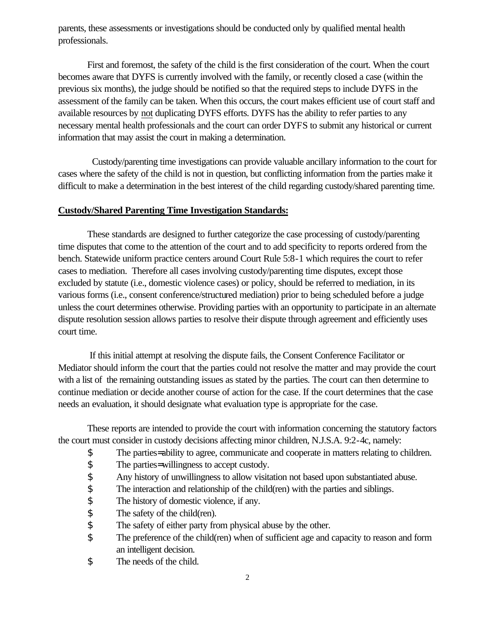parents, these assessments or investigations should be conducted only by qualified mental health professionals.

First and foremost, the safety of the child is the first consideration of the court. When the court becomes aware that DYFS is currently involved with the family, or recently closed a case (within the previous six months), the judge should be notified so that the required steps to include DYFS in the assessment of the family can be taken. When this occurs, the court makes efficient use of court staff and available resources by not duplicating DYFS efforts. DYFS has the ability to refer parties to any necessary mental health professionals and the court can order DYFS to submit any historical or current information that may assist the court in making a determination.

 Custody/parenting time investigations can provide valuable ancillary information to the court for cases where the safety of the child is not in question, but conflicting information from the parties make it difficult to make a determination in the best interest of the child regarding custody/shared parenting time.

## **Custody/Shared Parenting Time Investigation Standards:**

These standards are designed to further categorize the case processing of custody/parenting time disputes that come to the attention of the court and to add specificity to reports ordered from the bench. Statewide uniform practice centers around Court Rule 5:8-1 which requires the court to refer cases to mediation. Therefore all cases involving custody/parenting time disputes, except those excluded by statute (i.e., domestic violence cases) or policy, should be referred to mediation, in its various forms (i.e., consent conference/structured mediation) prior to being scheduled before a judge unless the court determines otherwise. Providing parties with an opportunity to participate in an alternate dispute resolution session allows parties to resolve their dispute through agreement and efficiently uses court time.

 If this initial attempt at resolving the dispute fails, the Consent Conference Facilitator or Mediator should inform the court that the parties could not resolve the matter and may provide the court with a list of the remaining outstanding issues as stated by the parties. The court can then determine to continue mediation or decide another course of action for the case. If the court determines that the case needs an evaluation, it should designate what evaluation type is appropriate for the case.

These reports are intended to provide the court with information concerning the statutory factors the court must consider in custody decisions affecting minor children, N.J.S.A. 9:2-4c, namely:

- \$ The parties= ability to agree, communicate and cooperate in matters relating to children.
- \$ The parties= willingness to accept custody.
- \$ Any history of unwillingness to allow visitation not based upon substantiated abuse.
- \$ The interaction and relationship of the child(ren) with the parties and siblings.
- \$ The history of domestic violence, if any.<br>\$ The safety of the child(ren).
- The safety of the child(ren).
- \$ The safety of either party from physical abuse by the other.
- \$ The preference of the child(ren) when of sufficient age and capacity to reason and form an intelligent decision.
- \$ The needs of the child.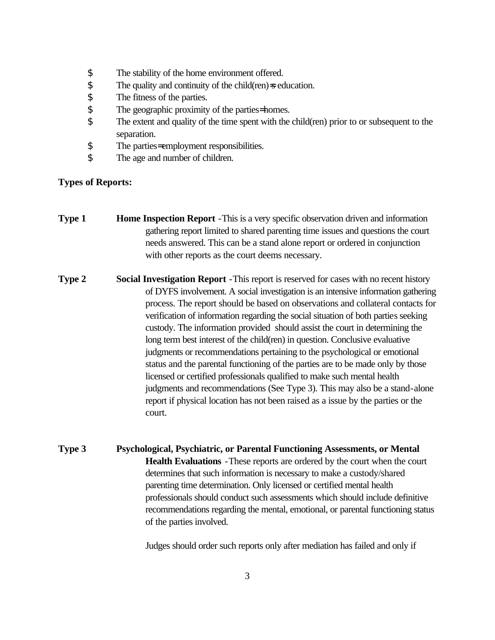- \$ The stability of the home environment offered.
- $\$\$  The quality and continuity of the child(ren)=s education.
- \$ The fitness of the parties.<br>\$ The geographic proximity
- The geographic proximity of the parties= homes.
- \$ The extent and quality of the time spent with the child(ren) prior to or subsequent to the separation.
- \$ The parties= employment responsibilities.
- \$ The age and number of children.

## **Types of Reports:**

- **Type 1 Home Inspection Report** This is a very specific observation driven and information gathering report limited to shared parenting time issues and questions the court needs answered. This can be a stand alone report or ordered in conjunction with other reports as the court deems necessary.
- **Type 2 Social Investigation Report** -This report is reserved for cases with no recent history of DYFS involvement. A social investigation is an intensive information gathering process. The report should be based on observations and collateral contacts for verification of information regarding the social situation of both parties seeking custody. The information provided should assist the court in determining the long term best interest of the child(ren) in question. Conclusive evaluative judgments or recommendations pertaining to the psychological or emotional status and the parental functioning of the parties are to be made only by those licensed or certified professionals qualified to make such mental health judgments and recommendations (See Type 3). This may also be a stand-alone report if physical location has not been raised as a issue by the parties or the court.
- **Type 3 Psychological, Psychiatric, or Parental Functioning Assessments, or Mental Health Evaluations** -These reports are ordered by the court when the court determines that such information is necessary to make a custody/shared parenting time determination. Only licensed or certified mental health professionals should conduct such assessments which should include definitive recommendations regarding the mental, emotional, or parental functioning status of the parties involved.

Judges should order such reports only after mediation has failed and only if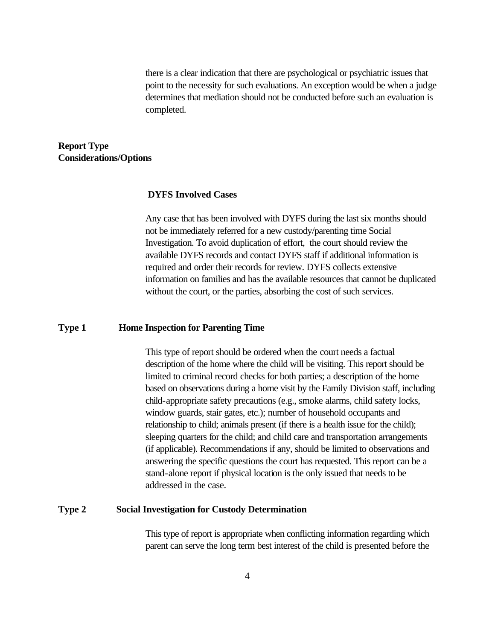there is a clear indication that there are psychological or psychiatric issues that point to the necessity for such evaluations. An exception would be when a judge determines that mediation should not be conducted before such an evaluation is completed.

## **Report Type Considerations/Options**

### **DYFS Involved Cases**

Any case that has been involved with DYFS during the last six months should not be immediately referred for a new custody/parenting time Social Investigation. To avoid duplication of effort, the court should review the available DYFS records and contact DYFS staff if additional information is required and order their records for review. DYFS collects extensive information on families and has the available resources that cannot be duplicated without the court, or the parties, absorbing the cost of such services.

### **Type 1 Home Inspection for Parenting Time**

This type of report should be ordered when the court needs a factual description of the home where the child will be visiting. This report should be limited to criminal record checks for both parties; a description of the home based on observations during a home visit by the Family Division staff, including child-appropriate safety precautions (e.g., smoke alarms, child safety locks, window guards, stair gates, etc.); number of household occupants and relationship to child; animals present (if there is a health issue for the child); sleeping quarters for the child; and child care and transportation arrangements (if applicable). Recommendations if any, should be limited to observations and answering the specific questions the court has requested. This report can be a stand-alone report if physical location is the only issued that needs to be addressed in the case.

#### **Type 2 Social Investigation for Custody Determination**

This type of report is appropriate when conflicting information regarding which parent can serve the long term best interest of the child is presented before the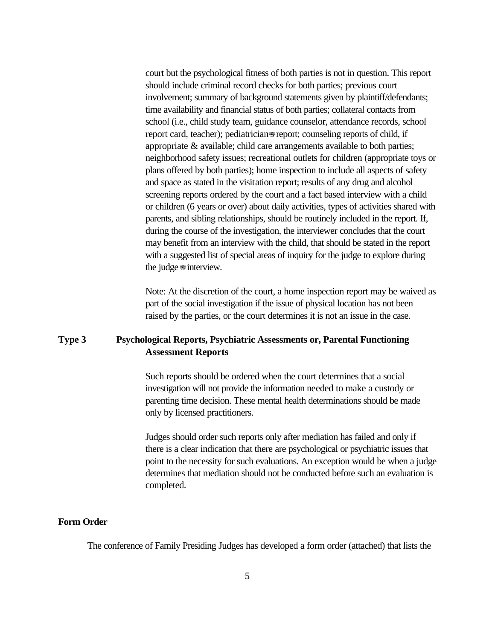court but the psychological fitness of both parties is not in question. This report should include criminal record checks for both parties; previous court involvement; summary of background statements given by plaintiff/defendants; time availability and financial status of both parties; collateral contacts from school (i.e., child study team, guidance counselor, attendance records, school report card, teacher); pediatrician=s report; counseling reports of child, if appropriate & available; child care arrangements available to both parties; neighborhood safety issues; recreational outlets for children (appropriate toys or plans offered by both parties); home inspection to include all aspects of safety and space as stated in the visitation report; results of any drug and alcohol screening reports ordered by the court and a fact based interview with a child or children (6 years or over) about daily activities, types of activities shared with parents, and sibling relationships, should be routinely included in the report. If, during the course of the investigation, the interviewer concludes that the court may benefit from an interview with the child, that should be stated in the report with a suggested list of special areas of inquiry for the judge to explore during the judge=s interview.

Note: At the discretion of the court, a home inspection report may be waived as part of the social investigation if the issue of physical location has not been raised by the parties, or the court determines it is not an issue in the case.

## **Type 3 Psychological Reports, Psychiatric Assessments or, Parental Functioning Assessment Reports**

Such reports should be ordered when the court determines that a social investigation will not provide the information needed to make a custody or parenting time decision. These mental health determinations should be made only by licensed practitioners.

Judges should order such reports only after mediation has failed and only if there is a clear indication that there are psychological or psychiatric issues that point to the necessity for such evaluations. An exception would be when a judge determines that mediation should not be conducted before such an evaluation is completed.

## **Form Order**

The conference of Family Presiding Judges has developed a form order (attached) that lists the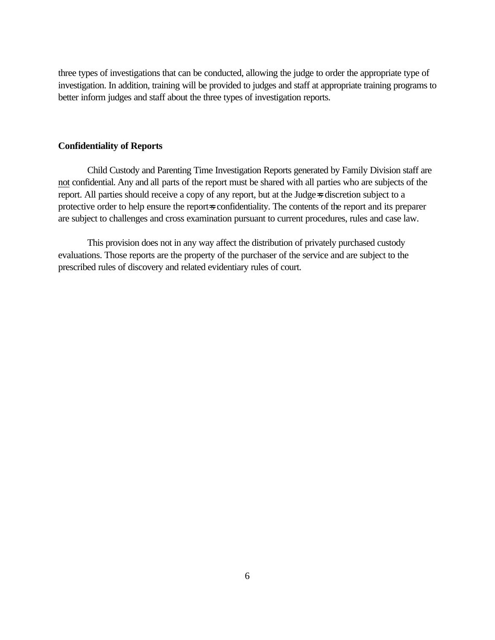three types of investigations that can be conducted, allowing the judge to order the appropriate type of investigation. In addition, training will be provided to judges and staff at appropriate training programs to better inform judges and staff about the three types of investigation reports.

## **Confidentiality of Reports**

Child Custody and Parenting Time Investigation Reports generated by Family Division staff are not confidential. Any and all parts of the report must be shared with all parties who are subjects of the report. All parties should receive a copy of any report, but at the Judge=s discretion subject to a protective order to help ensure the report=s confidentiality. The contents of the report and its preparer are subject to challenges and cross examination pursuant to current procedures, rules and case law.

This provision does not in any way affect the distribution of privately purchased custody evaluations. Those reports are the property of the purchaser of the service and are subject to the prescribed rules of discovery and related evidentiary rules of court.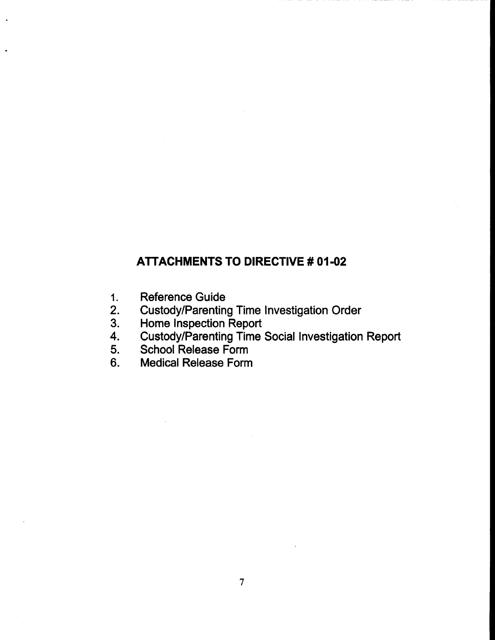## **ATTACHMENTS TO DIRECTIVE # 01-02**

- **Reference Guide**  $1.$
- $2.$
- $3.$
- Custody/Parenting Time Investigation Order<br>Home Inspection Report<br>Custody/Parenting Time Social Investigation Report<br>School Release Form 4.
- 5.
- **Medical Release Form**  $6.$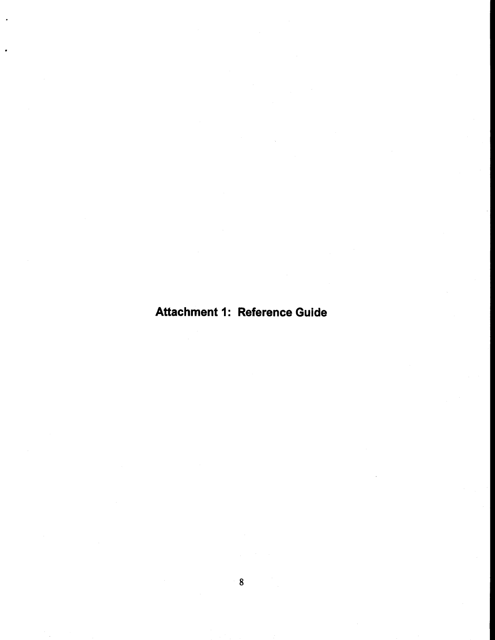# **Attachment 1: Reference Guide**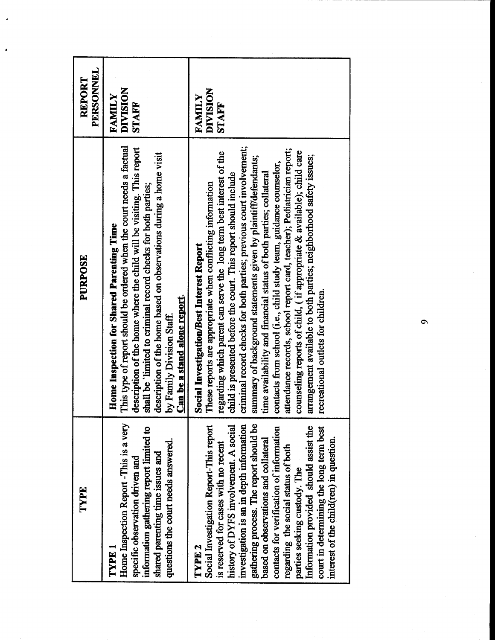| This type of report should be ordered when the court needs a factual<br>description of the home where the child will be visiting. This report<br>description of the home based on observations during a home visit<br>shall be 'limited to criminal record checks for both parties;<br>Home Inspection for Shared Parenting Time<br><b>Can be a stand alone report.</b><br>by Family Division Staff.<br>Home Inspection Report -This is a very                                                                                                                                                                                                                                                                                                                                                         |
|--------------------------------------------------------------------------------------------------------------------------------------------------------------------------------------------------------------------------------------------------------------------------------------------------------------------------------------------------------------------------------------------------------------------------------------------------------------------------------------------------------------------------------------------------------------------------------------------------------------------------------------------------------------------------------------------------------------------------------------------------------------------------------------------------------|
| criminal record checks for both parties; previous court involvement;<br>attendance records, school report card, teacher); Pediatrician report;<br>counseling reports of child, (if appropriate & available); child care<br>regarding which parent can serve the long term best interest of the<br>arrangement available to both parties; neighborhood safety issues;<br>summary of background statements given by plaintiff/defendants;<br>contacts from school (i.e., child study team, guidance counselor,<br>time availability and financial status of both parties; collateral<br>child is presented before the court. This report should include<br>These reports are appropriate when conflicting information<br>Social Investigation/Best Interest Report<br>recreational outlets for children. |

 $\bullet$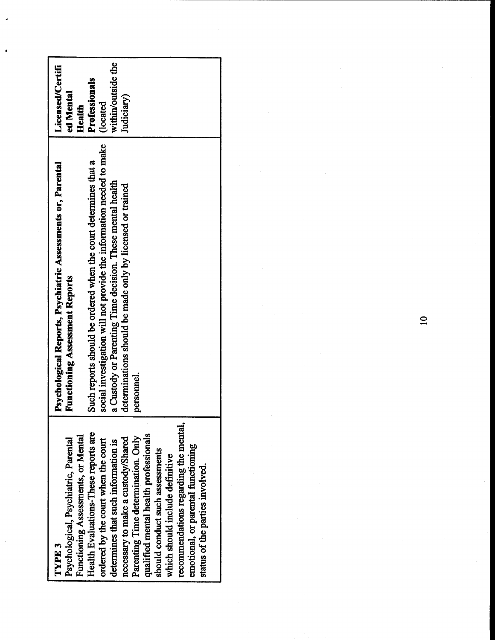| TYPE 3                                | Psychological Reports, Psychiatric Assessments or, Parental          | Licensed/Certifi   |
|---------------------------------------|----------------------------------------------------------------------|--------------------|
| Psychological, Psychiatric, Parental  | <b>Functioning Assessment Reports</b>                                | ed Mental          |
| Functioning Assessments, or Mental    |                                                                      | Health             |
| Health Evaluations-These reports are  | Such reports should be ordered when the court determines that a      | Professionals      |
| ordered by the court when the court   | social investigation will not provide the information needed to make | (located           |
| determines that such information is   | a Custody or Parenting Time decision. These mental health            | within/outside the |
| necessary to make a custody/Shared    | determinations should be made only by licensed or trained            | Judiciary)         |
| Parenting Time determination. Only    | personnel.                                                           |                    |
| qualified mental health professionals |                                                                      |                    |
| should conduct such assessments       |                                                                      |                    |
| which should include definitive       |                                                                      |                    |
| recommendations regarding the mental  |                                                                      |                    |
| emotional, or parental functioning    |                                                                      |                    |
| status of the parties involved.       |                                                                      |                    |
|                                       |                                                                      |                    |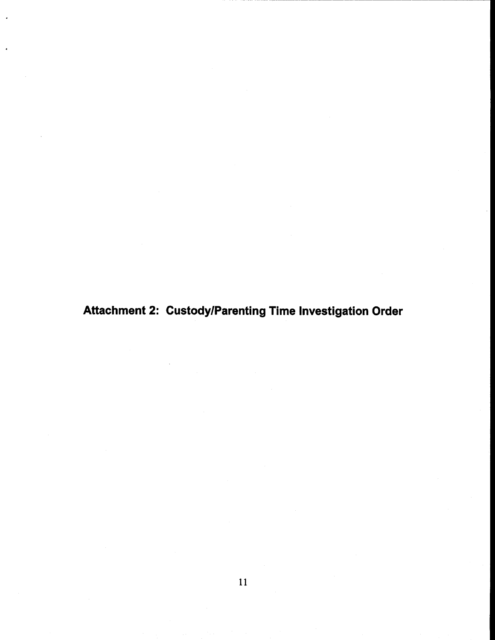Attachment 2: Custody/Parenting Time Investigation Order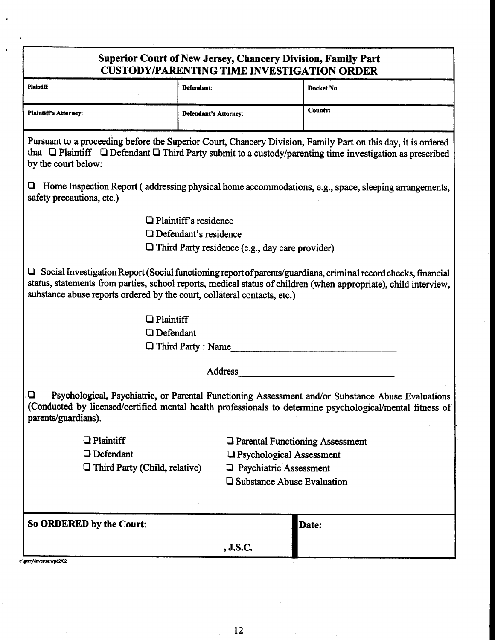| Superior Court of New Jersey, Chancery Division, Family Part<br><b>CUSTODY/PARENTING TIME INVESTIGATION ORDER</b>  |                                                        |                                                                                                                                                                                                                                           |
|--------------------------------------------------------------------------------------------------------------------|--------------------------------------------------------|-------------------------------------------------------------------------------------------------------------------------------------------------------------------------------------------------------------------------------------------|
| <b>Plaintiff:</b>                                                                                                  | Defendant:                                             | Docket No:                                                                                                                                                                                                                                |
| Plaintiff's Attorney:                                                                                              | <b>Defendant's Attorney:</b>                           | <b>County:</b>                                                                                                                                                                                                                            |
| by the court below:                                                                                                |                                                        | Pursuant to a proceeding before the Superior Court, Chancery Division, Family Part on this day, it is ordered<br>that $\Box$ Plaintiff $\Box$ Defendant $\Box$ Third Party submit to a custody/parenting time investigation as prescribed |
| safety precautions, etc.)                                                                                          |                                                        | Home Inspection Report (addressing physical home accommodations, e.g., space, sleeping arrangements,                                                                                                                                      |
|                                                                                                                    | $\Box$ Plaintiff's residence                           |                                                                                                                                                                                                                                           |
|                                                                                                                    | $\Box$ Defendant's residence                           |                                                                                                                                                                                                                                           |
|                                                                                                                    | $\Box$ Third Party residence (e.g., day care provider) |                                                                                                                                                                                                                                           |
| substance abuse reports ordered by the court, collateral contacts, etc.)<br>$\Box$ Plaintiff<br><b>Q</b> Defendant |                                                        | Social Investigation Report (Social functioning report of parents/guardians, criminal record checks, financial<br>status, statements from parties, school reports, medical status of children (when appropriate), child interview,        |
|                                                                                                                    | <b>Third Party: Name</b>                               |                                                                                                                                                                                                                                           |
|                                                                                                                    | Address                                                |                                                                                                                                                                                                                                           |
| u<br>parents/guardians).                                                                                           |                                                        | Psychological, Psychiatric, or Parental Functioning Assessment and/or Substance Abuse Evaluations<br>(Conducted by licensed/certified mental health professionals to determine psychological/mental fitness of                            |
| $\Box$ Plaintiff                                                                                                   |                                                        | <b>Q</b> Parental Functioning Assessment                                                                                                                                                                                                  |
| <b>Q</b> Defendant                                                                                                 |                                                        | <b>Q</b> Psychological Assessment                                                                                                                                                                                                         |
| Third Party (Child, relative)                                                                                      |                                                        | <b>Q</b> Psychiatric Assessment                                                                                                                                                                                                           |
|                                                                                                                    |                                                        | □ Substance Abuse Evaluation                                                                                                                                                                                                              |
| So ORDERED by the Court:                                                                                           |                                                        | Date:                                                                                                                                                                                                                                     |
|                                                                                                                    | , J.S.C.                                               |                                                                                                                                                                                                                                           |

c:\gerry\investor.wpd2/02

 $\ddot{\phantom{a}}$ 

 $\overline{\mathbf{A}}$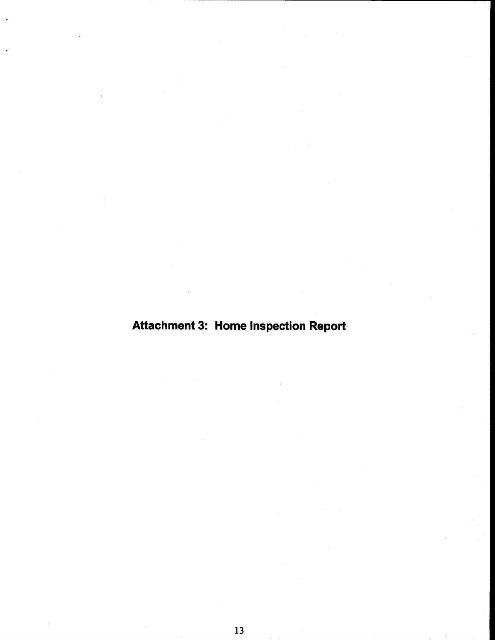# **Attachment 3: Home Inspection Report**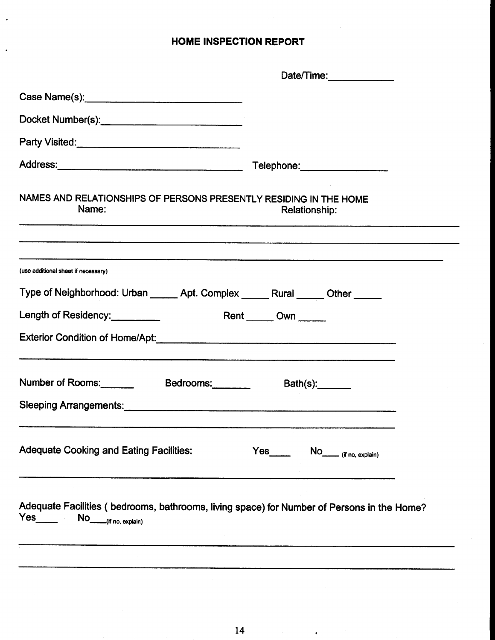## **HOME INSPECTION REPORT**

 $\ddot{\phantom{0}}$ 

 $\overline{a}$ 

| Telephone:___________________                                                              |
|--------------------------------------------------------------------------------------------|
| NAMES AND RELATIONSHIPS OF PERSONS PRESENTLY RESIDING IN THE HOME<br><b>Relationship:</b>  |
|                                                                                            |
| Type of Neighborhood: Urban ______ Apt. Complex _____ Rural _____ Other _____              |
| Rent ______ Own _____                                                                      |
|                                                                                            |
| Number of Rooms: Bedrooms:<br>Bath(s):                                                     |
|                                                                                            |
| Yes No <sub>_____</sub> (if no, explain)                                                   |
| Adequate Facilities (bedrooms, bathrooms, living space) for Number of Persons in the Home? |
|                                                                                            |

 $\bullet$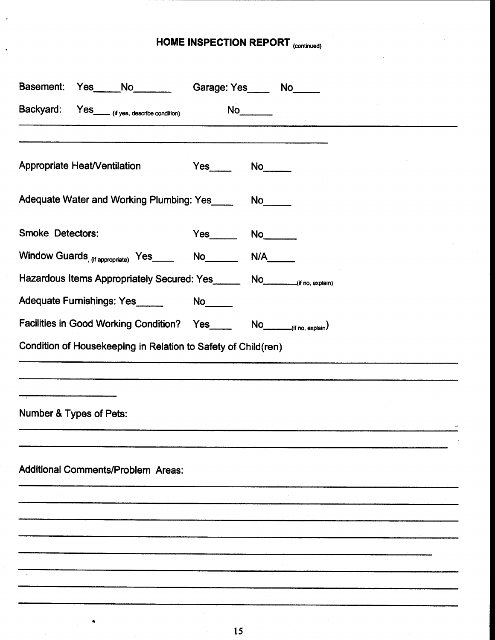# HOME INSPECTION REPORT (continued)

 $\ddot{\phantom{0}}$ 

| Basement:<br>Yes_____No_______                                                |    | Garage: Yes_____ No_____ |
|-------------------------------------------------------------------------------|----|--------------------------|
| Backyard: Yes_____ (if yes, describe condition)                               |    | No                       |
| Appropriate Heat/Ventilation                                                  |    |                          |
|                                                                               |    |                          |
| Adequate Water and Working Plumbing: Yes_______ No_____                       |    |                          |
| <b>Smoke Detectors:</b>                                                       |    |                          |
|                                                                               |    |                          |
| Hazardous Items Appropriately Secured: Yes________ No________(if no, explain) |    |                          |
| Adequate Furnishings: Yes                                                     | No |                          |
|                                                                               |    |                          |
| Condition of Housekeeping in Relation to Safety of Child(ren)                 |    |                          |
|                                                                               |    |                          |
|                                                                               |    |                          |
| Number & Types of Pets:                                                       |    |                          |
|                                                                               |    |                          |
| <b>Additional Comments/Problem Areas:</b>                                     |    |                          |
|                                                                               |    |                          |
|                                                                               |    |                          |
|                                                                               |    |                          |
|                                                                               |    |                          |
|                                                                               |    |                          |
|                                                                               |    |                          |

 $\bullet$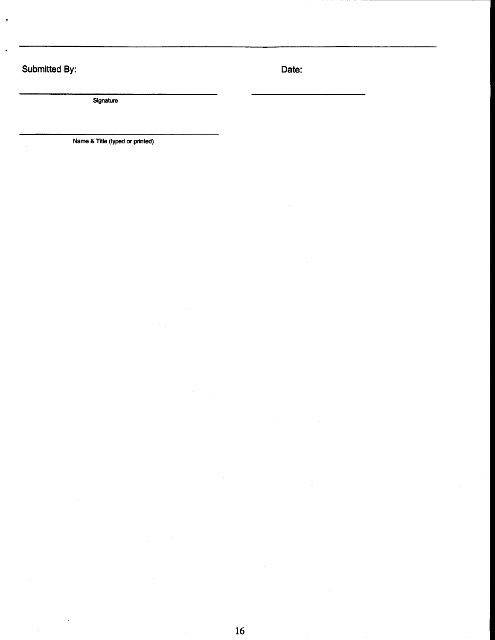## Submitted By:

 $\ddot{\phantom{0}}$ 

J

Date:

Signature

Name & Title (typed or printed)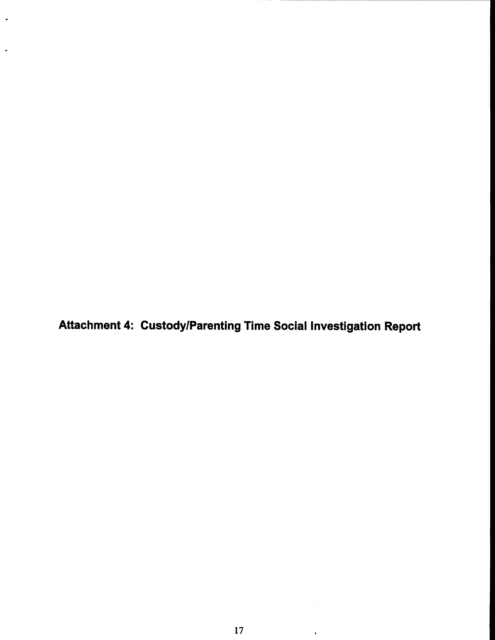Attachment 4: Custody/Parenting Time Social Investigation Report

l,

 $\ddot{\phantom{0}}$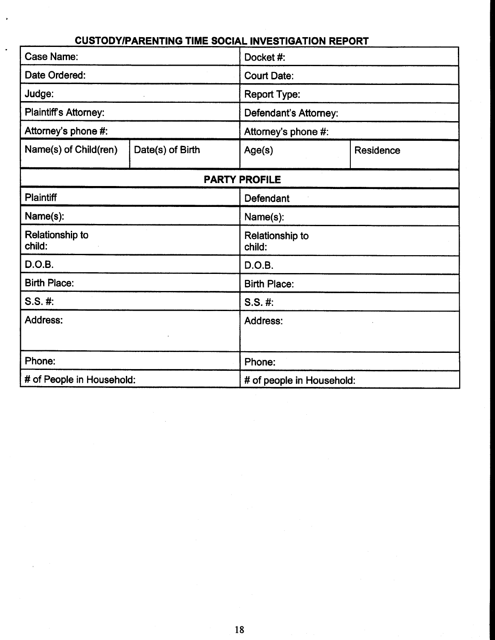| COSTOD TIPARENTING TIME SOCIAL INVESTIGATION REPORT |                  |                              |           |  |
|-----------------------------------------------------|------------------|------------------------------|-----------|--|
| Case Name:                                          |                  | Docket #:                    |           |  |
| Date Ordered:                                       |                  | <b>Court Date:</b>           |           |  |
| Judge:                                              |                  | <b>Report Type:</b>          |           |  |
| <b>Plaintiff's Attorney:</b>                        |                  | <b>Defendant's Attorney:</b> |           |  |
| Attorney's phone #:                                 |                  | Attorney's phone #:          |           |  |
| Name(s) of Child(ren)                               | Date(s) of Birth | Age(s)                       | Residence |  |
|                                                     |                  | <b>PARTY PROFILE</b>         |           |  |
| <b>Plaintiff</b>                                    |                  | Defendant                    |           |  |
| Name(s):                                            |                  | Name(s):                     |           |  |
| <b>Relationship to</b><br>child:                    |                  | Relationship to<br>child:    |           |  |
| D.O.B.                                              |                  | D.O.B.                       |           |  |
| <b>Birth Place:</b>                                 |                  | <b>Birth Place:</b>          |           |  |
| $S.S.$ #:                                           |                  | $S.S. \#$                    |           |  |
| <b>Address:</b>                                     |                  | <b>Address:</b>              |           |  |
| Phone:                                              |                  | Phone:                       |           |  |
| # of People in Household:                           |                  | # of people in Household:    |           |  |

 $\cdot$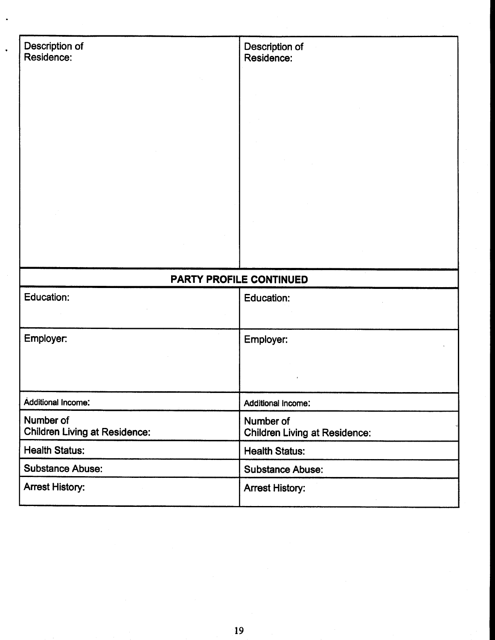| Description of<br>Residence:         | Description of<br>Residence:         |
|--------------------------------------|--------------------------------------|
|                                      |                                      |
|                                      |                                      |
|                                      |                                      |
|                                      |                                      |
|                                      |                                      |
|                                      |                                      |
|                                      |                                      |
|                                      |                                      |
|                                      |                                      |
|                                      |                                      |
|                                      |                                      |
|                                      | <b>PARTY PROFILE CONTINUED</b>       |
| Education:                           | Education:                           |
|                                      |                                      |
| Employer:                            | Employer:                            |
|                                      |                                      |
|                                      |                                      |
| <b>Additional Income:</b>            | Additional Income:                   |
| Number of                            | Number of                            |
| <b>Children Living at Residence:</b> | <b>Children Living at Residence:</b> |
| <b>Health Status:</b>                | <b>Health Status:</b>                |
| <b>Substance Abuse:</b>              | <b>Substance Abuse:</b>              |
| <b>Arrest History:</b>               | <b>Arrest History:</b>               |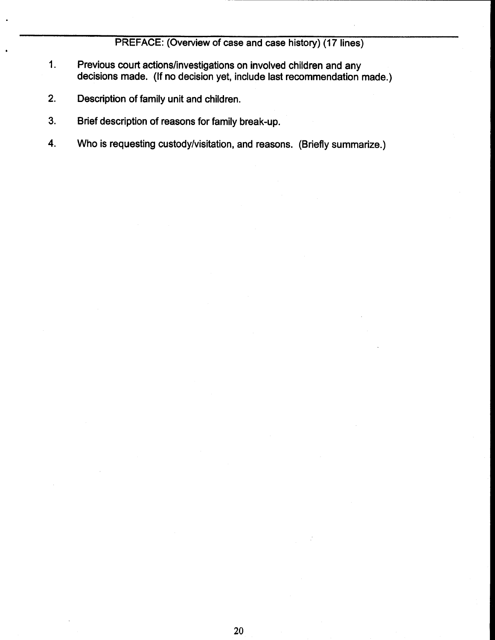PREFACE: (Overview of case and case history) (17 lines)

- $1.$ Previous court actions/investigations on involved children and any decisions made. (If no decision yet, include last recommendation made.)
- $2.$ Description of family unit and children.
- $3.$ Brief description of reasons for family break-up.
- $\overline{4}$ . Who is requesting custody/visitation, and reasons. (Briefly summarize.)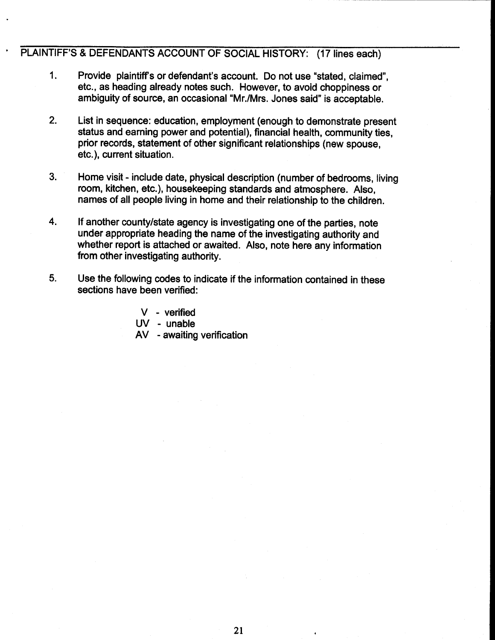## PLAINTIFF'S & DEFENDANTS ACCOUNT OF SOCIAL HISTORY: (17 lines each)

- $1<sub>1</sub>$ Provide plaintiff's or defendant's account. Do not use "stated, claimed". etc., as heading already notes such. However, to avoid choppiness or ambiguity of source, an occasional "Mr./Mrs. Jones said" is acceptable.
- $2.$ List in sequence: education, employment (enough to demonstrate present status and earning power and potential), financial health, community ties. prior records, statement of other significant relationships (new spouse. etc.), current situation.
- $3<sub>1</sub>$ Home visit - include date, physical description (number of bedrooms, living room, kitchen, etc.), housekeeping standards and atmosphere. Also. names of all people living in home and their relationship to the children.
- $\overline{\mathbf{4}}$ If another county/state agency is investigating one of the parties, note under appropriate heading the name of the investigating authority and whether report is attached or awaited. Also, note here any information from other investigating authority.
- 5. Use the following codes to indicate if the information contained in these sections have been verified:

 $V -$  verified UV - unable AV - awaiting verification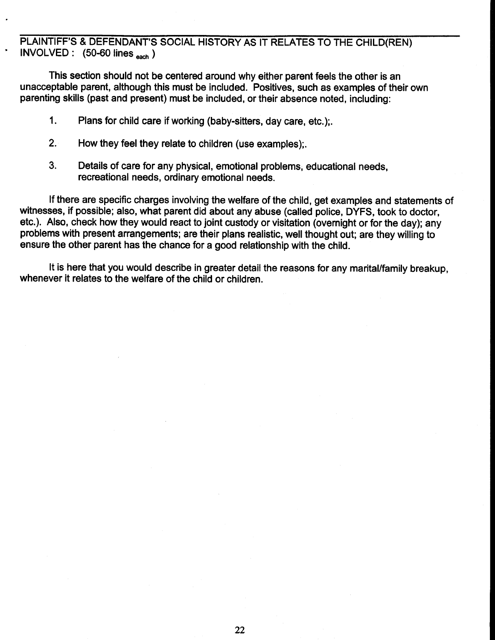PLAINTIFF'S & DEFENDANT'S SOCIAL HISTORY AS IT RELATES TO THE CHILD(REN) INVOLVED:  $(50-60 \text{ lines}_{each})$ 

This section should not be centered around why either parent feels the other is an unacceptable parent, although this must be included. Positives, such as examples of their own parenting skills (past and present) must be included, or their absence noted, including:

- $1<sub>1</sub>$ Plans for child care if working (baby-sitters, day care, etc.):
- $2.$ How they feel they relate to children (use examples):
- $3<sub>1</sub>$ Details of care for any physical, emotional problems, educational needs, recreational needs, ordinary emotional needs.

If there are specific charges involving the welfare of the child, get examples and statements of witnesses, if possible; also, what parent did about any abuse (called police, DYFS, took to doctor, etc.). Also, check how they would react to joint custody or visitation (overnight or for the day); any problems with present arrangements; are their plans realistic, well thought out; are they willing to ensure the other parent has the chance for a good relationship with the child.

It is here that you would describe in greater detail the reasons for any marital/family breakup. whenever it relates to the welfare of the child or children.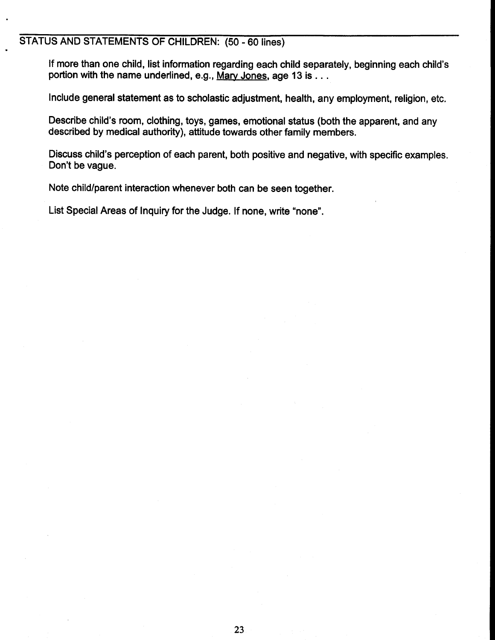## STATUS AND STATEMENTS OF CHILDREN: (50 - 60 lines)

If more than one child, list information regarding each child separately, beginning each child's portion with the name underlined, e.g., Mary Jones, age 13 is . . .

Include general statement as to scholastic adjustment, health, any employment, religion, etc.

Describe child's room, clothing, toys, games, emotional status (both the apparent, and any described by medical authority), attitude towards other family members.

Discuss child's perception of each parent, both positive and negative, with specific examples. Don't be vague.

Note child/parent interaction whenever both can be seen together.

List Special Areas of Inquiry for the Judge. If none, write "none".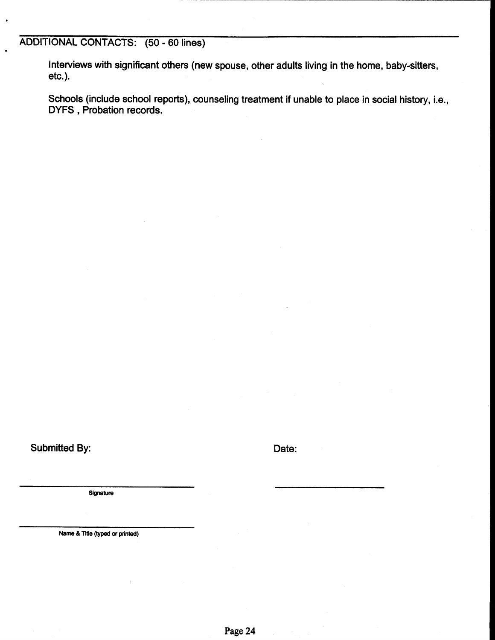## ADDITIONAL CONTACTS: (50 - 60 lines)

Interviews with significant others (new spouse, other adults living in the home, baby-sitters,  $etc.$ ).

Schools (include school reports), counseling treatment if unable to place in social history, i.e., DYFS, Probation records.

**Submitted By:** 

Date:

Signature

Name & Title (typed or printed)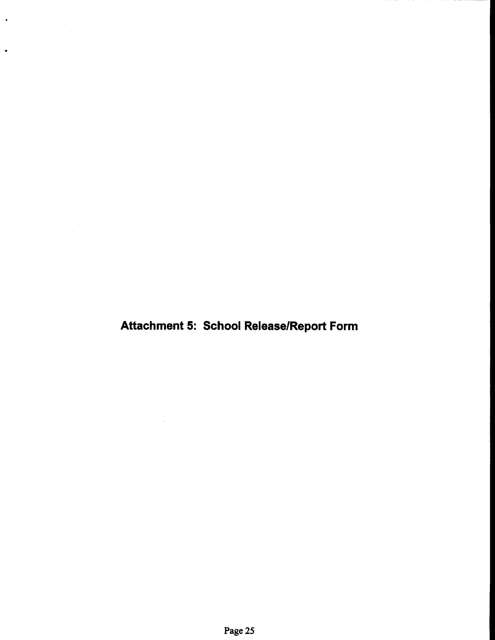# Attachment 5: School Release/Report Form

٠.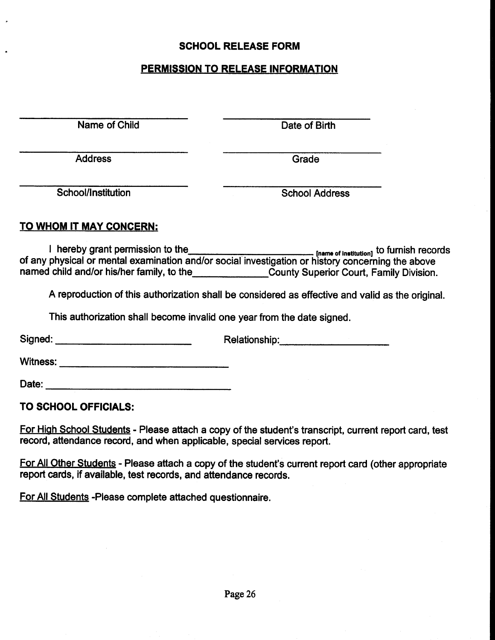## **SCHOOL RELEASE FORM**

## **PERMISSION TO RELEASE INFORMATION**

Name of Child

Date of Birth

**Address** 

Grade

School/Institution

**School Address** 

## TO WHOM IT MAY CONCERN:

I hereby grant permission to the<br>of any physical or mental examination and/or social investigation or history concerning the above named child and/or his/her family, to the County Superior Court, Family Division.

A reproduction of this authorization shall be considered as effective and valid as the original.

This authorization shall become invalid one year from the date signed.

Relationship: 2000 Signed: **Signed: Signed: Signed: Signed: Signed: Signed: Signed: Signed: Signed: Signed: Signed: Signed: Signed: Signed: Signed: Signed: Signed: Signed: Signed: Signed: Signed: Sig** 

**Witness:** Witness:

Date: the contract of the contract of the contract of the contract of the contract of the contract of the contract of the contract of the contract of the contract of the contract of the contract of the contract of the cont

## TO SCHOOL OFFICIALS:

For High School Students - Please attach a copy of the student's transcript, current report card, test record, attendance record, and when applicable, special services report.

For All Other Students - Please attach a copy of the student's current report card (other appropriate report cards, if available, test records, and attendance records.

For All Students - Please complete attached questionnaire.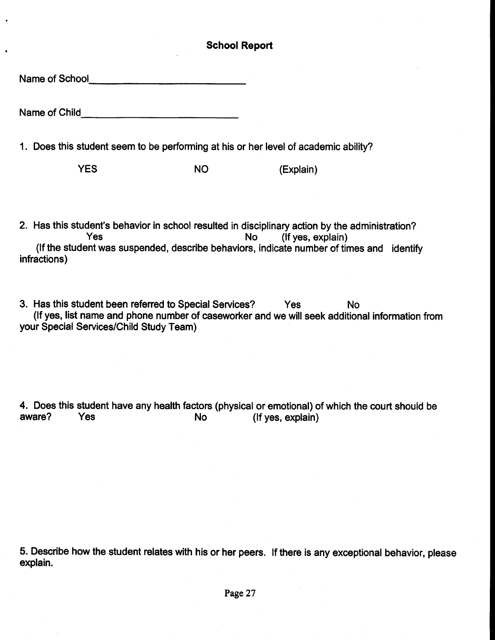## **School Report**

Name of School and the contract of the state of the state of the state of the state of the state of the state of the state of the state of the state of the state of the state of the state of the state of the state of the s

Name of Child **Child Child Child Child Child Child Child Child Child Child Child Child Child Child Child Child Child Child Child Child Child Child Child Child Child Child**

1. Does this student seem to be performing at his or her level of academic ability?

**YFS** NO. (Explain)

2. Has this student's behavior in school resulted in disciplinary action by the administration? (If yes, explain) **Yes**  $No$ (If the student was suspended, describe behaviors, indicate number of times and identify infractions)

3. Has this student been referred to Special Services? Yes **No** (If yes, list name and phone number of caseworker and we will seek additional information from your Special Services/Child Study Team)

4. Does this student have any health factors (physical or emotional) of which the court should be aware? Yes (If yes, explain) **No** 

5. Describe how the student relates with his or her peers. If there is any exceptional behavior, please explain.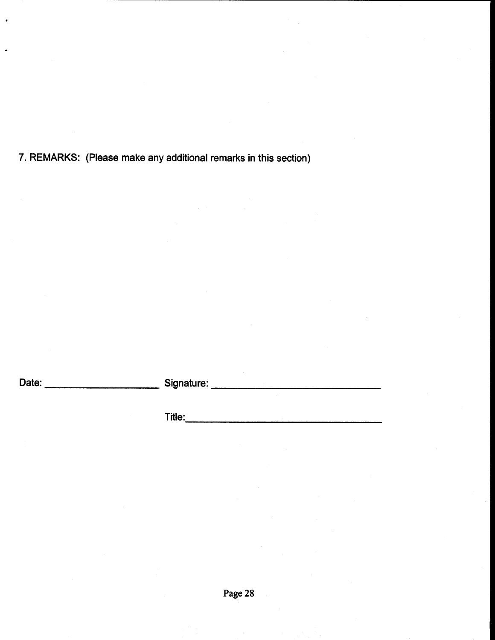7. REMARKS: (Please make any additional remarks in this section)

 $\lambda$ 

J.

Date: **Date: Date: Date: Date: Date:** 

**Title:** The contract of the contract of the contract of the contract of the contract of the contract of the contract of the contract of the contract of the contract of the contract of the contract of the contract of the c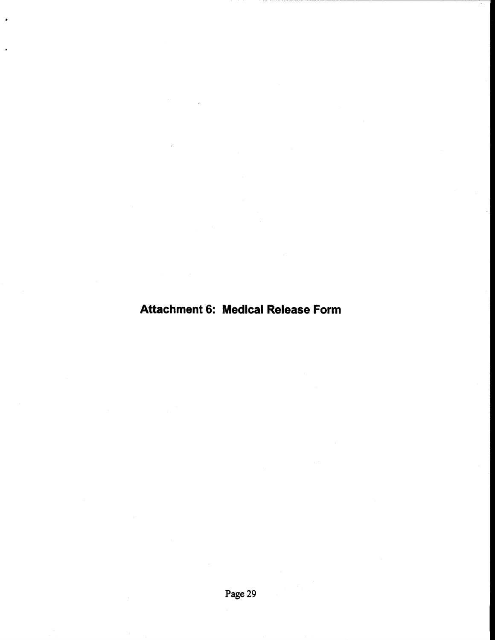## **Attachment 6: Medical Release Form**

l.

l.